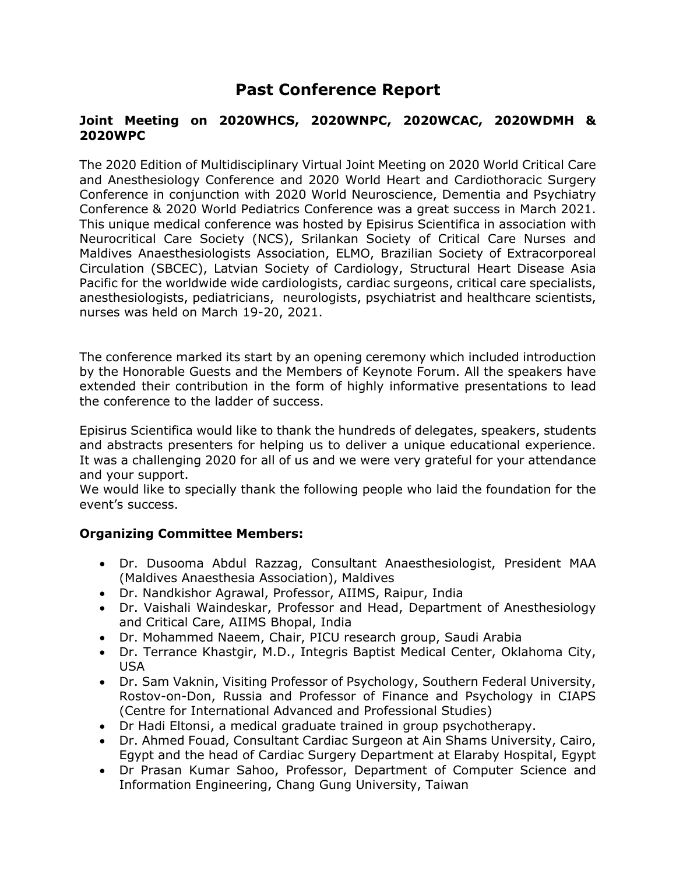## **Past Conference Report**

## **Joint Meeting on 2020WHCS, 2020WNPC, 2020WCAC, 2020WDMH & 2020WPC**

The 2020 Edition of Multidisciplinary Virtual Joint Meeting on 2020 World Critical Care and Anesthesiology Conference and 2020 World Heart and Cardiothoracic Surgery Conference in conjunction with 2020 World Neuroscience, Dementia and Psychiatry Conference & 2020 World Pediatrics Conference was a great success in March 2021. This unique medical conference was hosted by Episirus Scientifica in association with Neurocritical Care Society (NCS), Srilankan Society of Critical Care Nurses and Maldives Anaesthesiologists Association, ELMO, Brazilian Society of Extracorporeal Circulation (SBCEC), Latvian Society of Cardiology, Structural Heart Disease Asia Pacific for the worldwide wide cardiologists, cardiac surgeons, critical care specialists, anesthesiologists, pediatricians, neurologists, psychiatrist and healthcare scientists, nurses was held on March 19-20, 2021.

The conference marked its start by an opening ceremony which included introduction by the Honorable Guests and the Members of Keynote Forum. All the speakers have extended their contribution in the form of highly informative presentations to lead the conference to the ladder of success.

Episirus Scientifica would like to thank the hundreds of delegates, speakers, students and abstracts presenters for helping us to deliver a unique educational experience. It was a challenging 2020 for all of us and we were very grateful for your attendance and your support.

We would like to specially thank the following people who laid the foundation for the event's success.

## **Organizing Committee Members:**

- Dr. Dusooma Abdul Razzag, Consultant Anaesthesiologist, President MAA (Maldives Anaesthesia Association), Maldives
- Dr. Nandkishor Agrawal, Professor, AIIMS, Raipur, India
- Dr. Vaishali Waindeskar, Professor and Head, Department of Anesthesiology and Critical Care, AIIMS Bhopal, India
- Dr. Mohammed Naeem, Chair, PICU research group, Saudi Arabia
- Dr. Terrance Khastgir, M.D., Integris Baptist Medical Center, Oklahoma City, USA
- Dr. Sam Vaknin, Visiting Professor of Psychology, Southern Federal University, Rostov-on-Don, Russia and Professor of Finance and Psychology in CIAPS (Centre for International Advanced and Professional Studies)
- Dr Hadi Eltonsi, a medical graduate trained in group psychotherapy.
- Dr. Ahmed Fouad, Consultant Cardiac Surgeon at Ain Shams University, Cairo, Egypt and the head of Cardiac Surgery Department at Elaraby Hospital, Egypt
- Dr Prasan Kumar Sahoo, Professor, Department of Computer Science and Information Engineering, Chang Gung University, Taiwan